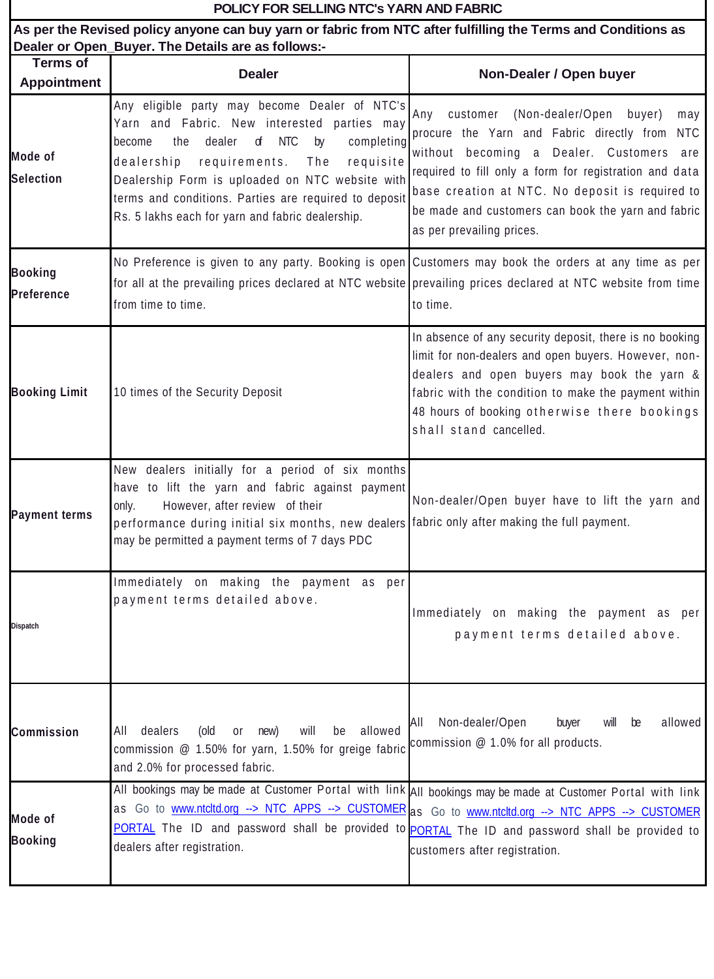| POLICY FOR SELLING NTC's YARN AND FABRIC                                                                                                                            |                                                                                                                                                                                                                                                                                                                                                                                   |                                                                                                                                                                                                                                                                                                                                             |  |
|---------------------------------------------------------------------------------------------------------------------------------------------------------------------|-----------------------------------------------------------------------------------------------------------------------------------------------------------------------------------------------------------------------------------------------------------------------------------------------------------------------------------------------------------------------------------|---------------------------------------------------------------------------------------------------------------------------------------------------------------------------------------------------------------------------------------------------------------------------------------------------------------------------------------------|--|
| As per the Revised policy anyone can buy yarn or fabric from NTC after fulfilling the Terms and Conditions as<br>Dealer or Open_Buyer. The Details are as follows:- |                                                                                                                                                                                                                                                                                                                                                                                   |                                                                                                                                                                                                                                                                                                                                             |  |
| <b>Terms of</b><br><b>Appointment</b>                                                                                                                               | <b>Dealer</b>                                                                                                                                                                                                                                                                                                                                                                     | Non-Dealer / Open buyer                                                                                                                                                                                                                                                                                                                     |  |
| <b>Mode of</b><br><b>Selection</b>                                                                                                                                  | Any eligible party may become Dealer of NTC's<br>Yarn and Fabric. New interested parties may<br><b>NTC</b><br>the<br>dealer<br>d<br>by<br>completing<br>become<br>dealership<br>requirements.<br>The<br>requisite<br>Dealership Form is uploaded on NTC website with<br>terms and conditions. Parties are required to deposit<br>Rs. 5 lakhs each for yarn and fabric dealership. | customer (Non-dealer/Open buyer)<br>Any<br>may<br>procure the Yarn and Fabric directly from NTC<br>without becoming a Dealer. Customers are<br>required to fill only a form for registration and data<br>base creation at NTC. No deposit is required to<br>be made and customers can book the yarn and fabric<br>as per prevailing prices. |  |
| <b>Booking</b><br><b>Preference</b>                                                                                                                                 | No Preference is given to any party. Booking is open Customers may book the orders at any time as per<br>for all at the prevailing prices declared at NTC website prevailing prices declared at NTC website from time<br>from time to time.                                                                                                                                       | to time.                                                                                                                                                                                                                                                                                                                                    |  |
| <b>Booking Limit</b>                                                                                                                                                | 10 times of the Security Deposit                                                                                                                                                                                                                                                                                                                                                  | In absence of any security deposit, there is no booking<br>limit for non-dealers and open buyers. However, non-<br>dealers and open buyers may book the yarn &<br>fabric with the condition to make the payment within<br>48 hours of booking otherwise there bookings<br>shall stand cancelled.                                            |  |
| <b>Payment terms</b>                                                                                                                                                | New dealers initially for a period of six months<br>have to lift the yarn and fabric against payment<br>However, after review of their<br>only.<br>performance during initial six months, new dealers fabric only after making the full payment.<br>may be permitted a payment terms of 7 days PDC                                                                                | Non-dealer/Open buyer have to lift the yarn and                                                                                                                                                                                                                                                                                             |  |
| <b>Dispatch</b>                                                                                                                                                     | Immediately on making the payment as per<br>payment terms detailed above.                                                                                                                                                                                                                                                                                                         | Immediately on making the payment as per<br>payment terms detailed above.                                                                                                                                                                                                                                                                   |  |
| <b>Commission</b>                                                                                                                                                   | allowed<br>will<br>dealers<br>(old<br>new)<br>be<br><b>or</b><br>All<br>commission @ 1.50% for yarn, 1.50% for greige fabric $\c{commission} \ @$ 1.0% for all products.<br>and 2.0% for processed fabric.                                                                                                                                                                        | Non-dealer/Open<br>allowed<br>All<br>buyer<br>will<br>be                                                                                                                                                                                                                                                                                    |  |
| Mode of<br><b>Booking</b>                                                                                                                                           | All bookings may be made at Customer Portal with link All bookings may be made at Customer Portal with link<br>as Go to www.ntcltd.org --> NTC APPS --> CUSTOMER as Go to www.ntcltd.org --> NTC APPS --> CUSTOMER<br>PORTAL The ID and password shall be provided to PORTAL The ID and password shall be provided to<br>dealers after registration.                              | customers after registration.                                                                                                                                                                                                                                                                                                               |  |